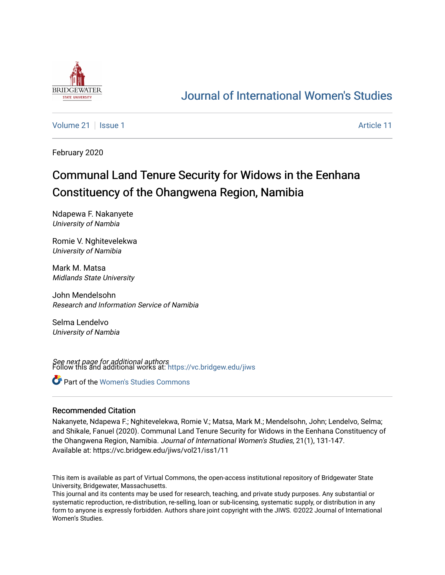

## [Journal of International Women's Studies](https://vc.bridgew.edu/jiws)

[Volume 21](https://vc.bridgew.edu/jiws/vol21) | [Issue 1](https://vc.bridgew.edu/jiws/vol21/iss1) Article 11

February 2020

# Communal Land Tenure Security for Widows in the Eenhana Constituency of the Ohangwena Region, Namibia

Ndapewa F. Nakanyete University of Nambia

Romie V. Nghitevelekwa University of Namibia

Mark M. Matsa Midlands State University

John Mendelsohn Research and Information Service of Namibia

Selma Lendelvo University of Nambia

**See next page for additional authors**<br>Follow this and additional works at: [https://vc.bridgew.edu/jiws](https://vc.bridgew.edu/jiws?utm_source=vc.bridgew.edu%2Fjiws%2Fvol21%2Fiss1%2F11&utm_medium=PDF&utm_campaign=PDFCoverPages)

Part of the [Women's Studies Commons](http://network.bepress.com/hgg/discipline/561?utm_source=vc.bridgew.edu%2Fjiws%2Fvol21%2Fiss1%2F11&utm_medium=PDF&utm_campaign=PDFCoverPages) 

#### Recommended Citation

Nakanyete, Ndapewa F.; Nghitevelekwa, Romie V.; Matsa, Mark M.; Mendelsohn, John; Lendelvo, Selma; and Shikale, Fanuel (2020). Communal Land Tenure Security for Widows in the Eenhana Constituency of the Ohangwena Region, Namibia. Journal of International Women's Studies, 21(1), 131-147. Available at: https://vc.bridgew.edu/jiws/vol21/iss1/11

This item is available as part of Virtual Commons, the open-access institutional repository of Bridgewater State University, Bridgewater, Massachusetts.

This journal and its contents may be used for research, teaching, and private study purposes. Any substantial or systematic reproduction, re-distribution, re-selling, loan or sub-licensing, systematic supply, or distribution in any form to anyone is expressly forbidden. Authors share joint copyright with the JIWS. ©2022 Journal of International Women's Studies.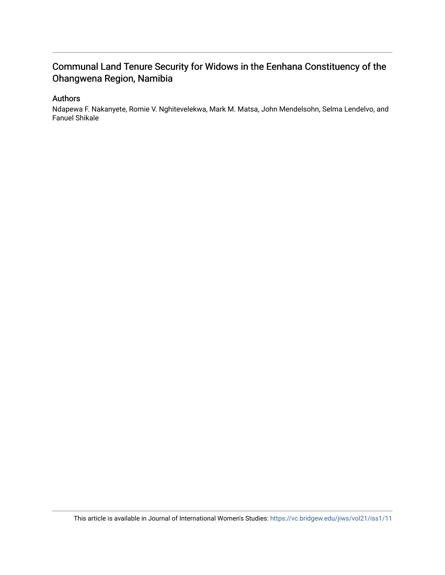## Communal Land Tenure Security for Widows in the Eenhana Constituency of the Ohangwena Region, Namibia

## Authors

Ndapewa F. Nakanyete, Romie V. Nghitevelekwa, Mark M. Matsa, John Mendelsohn, Selma Lendelvo, and Fanuel Shikale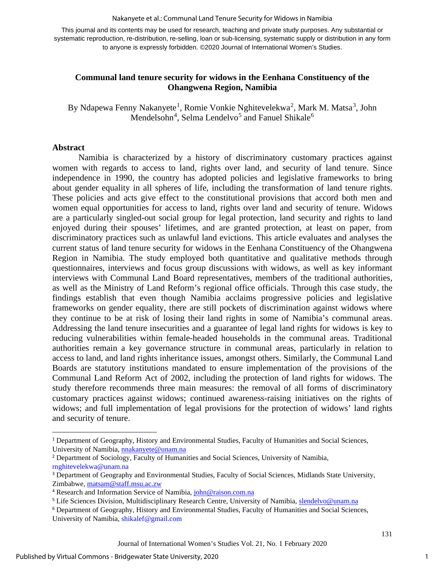Nakanyete et al.: Communal Land Tenure Security for Widows in Namibia

This journal and its contents may be used for research, teaching and private study purposes. Any substantial or systematic reproduction, re-distribution, re-selling, loan or sub-licensing, systematic supply or distribution in any form to anyone is expressly forbidden. ©2020 Journal of International Women's Studies.

## **Communal land tenure security for widows in the Eenhana Constituency of the Ohangwena Region, Namibia**

By Ndapewa Fenny Nakanyete<sup>[1](#page-2-0)</sup>, Romie Vonkie Nghitevelekwa<sup>[2](#page-2-1)</sup>, Mark M. Matsa<sup>[3](#page-2-2)</sup>, John Mendelsohn<sup>[4](#page-2-3)</sup>, Selma Lendelvo<sup>[5](#page-2-4)</sup> and Fanuel Shikale<sup>[6](#page-2-5)</sup>

## **Abstract**

Namibia is characterized by a history of discriminatory customary practices against women with regards to access to land, rights over land, and security of land tenure. Since independence in 1990, the country has adopted policies and legislative frameworks to bring about gender equality in all spheres of life, including the transformation of land tenure rights. These policies and acts give effect to the constitutional provisions that accord both men and women equal opportunities for access to land, rights over land and security of tenure. Widows are a particularly singled-out social group for legal protection, land security and rights to land enjoyed during their spouses' lifetimes, and are granted protection, at least on paper, from discriminatory practices such as unlawful land evictions. This article evaluates and analyses the current status of land tenure security for widows in the Eenhana Constituency of the Ohangwena Region in Namibia. The study employed both quantitative and qualitative methods through questionnaires, interviews and focus group discussions with widows, as well as key informant interviews with Communal Land Board representatives, members of the traditional authorities, as well as the Ministry of Land Reform's regional office officials. Through this case study, the findings establish that even though Namibia acclaims progressive policies and legislative frameworks on gender equality, there are still pockets of discrimination against widows where they continue to be at risk of losing their land rights in some of Namibia's communal areas. Addressing the land tenure insecurities and a guarantee of legal land rights for widows is key to reducing vulnerabilities within female-headed households in the communal areas. Traditional authorities remain a key governance structure in communal areas, particularly in relation to access to land, and land rights inheritance issues, amongst others. Similarly, the Communal Land Boards are statutory institutions mandated to ensure implementation of the provisions of the Communal Land Reform Act of 2002, including the protection of land rights for widows. The study therefore recommends three main measures: the removal of all forms of discriminatory customary practices against widows; continued awareness-raising initiatives on the rights of widows; and full implementation of legal provisions for the protection of widows' land rights and security of tenure.

<span id="page-2-0"></span><sup>1</sup> Department of Geography, History and Environmental Studies, Faculty of Humanities and Social Sciences, University of Namibia, [nnakanyete@unam.na](mailto:nnakanyete@unam.na)

<span id="page-2-1"></span><sup>2</sup> Department of Sociology, Faculty of Humanities and Social Sciences, University of Namibia, [rnghitevelekwa@unam.na](mailto:rnghitevelekwa@unam.na)

<span id="page-2-2"></span><sup>&</sup>lt;sup>3</sup> Department of Geography and Environmental Studies, Faculty of Social Sciences, Midlands State University, Zimbabwe, [matsam@staff.msu.ac.zw](mailto:matsam@staff.msu.ac.zw)

<span id="page-2-3"></span><sup>4</sup> Research and Information Service of Namibia[, john@raison.com.na](mailto:john@raison.com.na)

<span id="page-2-4"></span><sup>&</sup>lt;sup>5</sup> Life Sciences Division, Multidisciplinary Research Centre, University of Namibia, [slendelvo@unam.na](mailto:slendelvo@unam.na)

<span id="page-2-5"></span><sup>6</sup> Department of Geography, History and Environmental Studies, Faculty of Humanities and Social Sciences, University of Namibia, [shikalef@gmail.com](mailto:shikalef@gmail.com)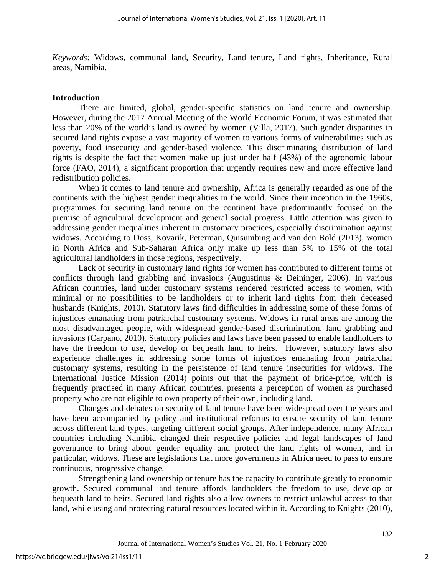*Keywords:* Widows, communal land, Security, Land tenure, Land rights, Inheritance, Rural areas, Namibia.

#### **Introduction**

There are limited, global, gender-specific statistics on land tenure and ownership. However, during the 2017 Annual Meeting of the World Economic Forum, it was estimated that less than 20% of the world's land is owned by women (Villa, 2017). Such gender disparities in secured land rights expose a vast majority of women to various forms of vulnerabilities such as poverty, food insecurity and gender-based violence. This discriminating distribution of land rights is despite the fact that women make up just under half (43%) of the agronomic labour force (FAO, 2014), a significant proportion that urgently requires new and more effective land redistribution policies.

When it comes to land tenure and ownership, Africa is generally regarded as one of the continents with the highest gender inequalities in the world. Since their inception in the 1960s, programmes for securing land tenure on the continent have predominantly focused on the premise of agricultural development and general social progress. Little attention was given to addressing gender inequalities inherent in customary practices, especially discrimination against widows. According to Doss, Kovarik, Peterman, Quisumbing and van den Bold (2013), women in North Africa and Sub-Saharan Africa only make up less than 5% to 15% of the total agricultural landholders in those regions, respectively.

Lack of security in customary land rights for women has contributed to different forms of conflicts through land grabbing and invasions (Augustinus & Deininger, 2006). In various African countries, land under customary systems rendered restricted access to women, with minimal or no possibilities to be landholders or to inherit land rights from their deceased husbands (Knights, 2010). Statutory laws find difficulties in addressing some of these forms of injustices emanating from patriarchal customary systems. Widows in rural areas are among the most disadvantaged people, with widespread gender-based discrimination, land grabbing and invasions (Carpano, 2010). Statutory policies and laws have been passed to enable landholders to have the freedom to use, develop or bequeath land to heirs. However, statutory laws also experience challenges in addressing some forms of injustices emanating from patriarchal customary systems, resulting in the persistence of land tenure insecurities for widows. The International Justice Mission (2014) points out that the payment of bride-price, which is frequently practised in many African countries, presents a perception of women as purchased property who are not eligible to own property of their own, including land.

Changes and debates on security of land tenure have been widespread over the years and have been accompanied by policy and institutional reforms to ensure security of land tenure across different land types, targeting different social groups. After independence, many African countries including Namibia changed their respective policies and legal landscapes of land governance to bring about gender equality and protect the land rights of women, and in particular, widows. These are legislations that more governments in Africa need to pass to ensure continuous, progressive change.

Strengthening land ownership or tenure has the capacity to contribute greatly to economic growth. Secured communal land tenure affords landholders the freedom to use, develop or bequeath land to heirs. Secured land rights also allow owners to restrict unlawful access to that land, while using and protecting natural resources located within it. According to Knights (2010),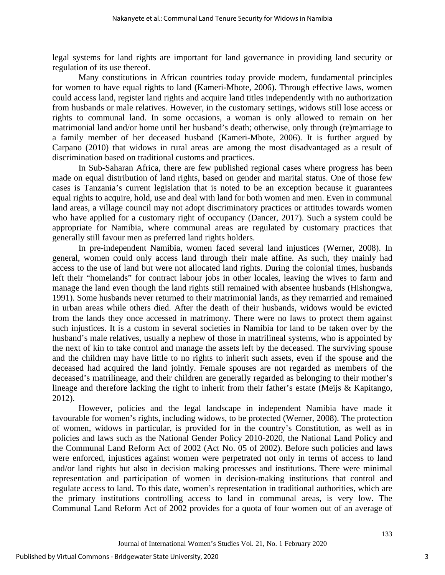legal systems for land rights are important for land governance in providing land security or regulation of its use thereof.

Many constitutions in African countries today provide modern, fundamental principles for women to have equal rights to land (Kameri-Mbote, 2006). Through effective laws, women could access land, register land rights and acquire land titles independently with no authorization from husbands or male relatives. However, in the customary settings, widows still lose access or rights to communal land. In some occasions, a woman is only allowed to remain on her matrimonial land and/or home until her husband's death; otherwise, only through (re)marriage to a family member of her deceased husband (Kameri-Mbote, 2006). It is further argued by Carpano (2010) that widows in rural areas are among the most disadvantaged as a result of discrimination based on traditional customs and practices.

In Sub-Saharan Africa, there are few published regional cases where progress has been made on equal distribution of land rights, based on gender and marital status. One of those few cases is Tanzania's current legislation that is noted to be an exception because it guarantees equal rights to acquire, hold, use and deal with land for both women and men. Even in communal land areas, a village council may not adopt discriminatory practices or attitudes towards women who have applied for a customary right of occupancy (Dancer, 2017). Such a system could be appropriate for Namibia, where communal areas are regulated by customary practices that generally still favour men as preferred land rights holders.

In pre-independent Namibia, women faced several land injustices (Werner, 2008). In general, women could only access land through their male affine. As such, they mainly had access to the use of land but were not allocated land rights. During the colonial times, husbands left their "homelands" for contract labour jobs in other locales, leaving the wives to farm and manage the land even though the land rights still remained with absentee husbands (Hishongwa, 1991). Some husbands never returned to their matrimonial lands, as they remarried and remained in urban areas while others died. After the death of their husbands, widows would be evicted from the lands they once accessed in matrimony. There were no laws to protect them against such injustices. It is a custom in several societies in Namibia for land to be taken over by the husband's male relatives, usually a nephew of those in matrilineal systems, who is appointed by the next of kin to take control and manage the assets left by the deceased. The surviving spouse and the children may have little to no rights to inherit such assets, even if the spouse and the deceased had acquired the land jointly. Female spouses are not regarded as members of the deceased's matrilineage, and their children are generally regarded as belonging to their mother's lineage and therefore lacking the right to inherit from their father's estate (Meijs & Kapitango, 2012).

However, policies and the legal landscape in independent Namibia have made it favourable for women's rights, including widows, to be protected (Werner, 2008). The protection of women, widows in particular, is provided for in the country's Constitution, as well as in policies and laws such as the National Gender Policy 2010-2020, the National Land Policy and the Communal Land Reform Act of 2002 (Act No. 05 of 2002). Before such policies and laws were enforced, injustices against women were perpetrated not only in terms of access to land and/or land rights but also in decision making processes and institutions. There were minimal representation and participation of women in decision-making institutions that control and regulate access to land. To this date, women's representation in traditional authorities, which are the primary institutions controlling access to land in communal areas, is very low. The Communal Land Reform Act of 2002 provides for a quota of four women out of an average of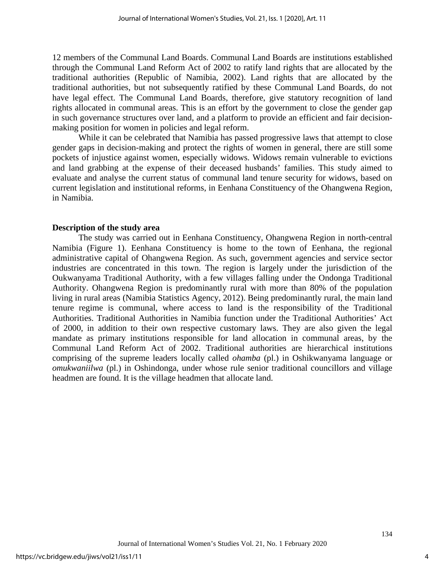12 members of the Communal Land Boards. Communal Land Boards are institutions established through the Communal Land Reform Act of 2002 to ratify land rights that are allocated by the traditional authorities (Republic of Namibia, 2002). Land rights that are allocated by the traditional authorities, but not subsequently ratified by these Communal Land Boards, do not have legal effect. The Communal Land Boards, therefore, give statutory recognition of land rights allocated in communal areas. This is an effort by the government to close the gender gap in such governance structures over land, and a platform to provide an efficient and fair decisionmaking position for women in policies and legal reform.

While it can be celebrated that Namibia has passed progressive laws that attempt to close gender gaps in decision-making and protect the rights of women in general, there are still some pockets of injustice against women, especially widows. Widows remain vulnerable to evictions and land grabbing at the expense of their deceased husbands' families. This study aimed to evaluate and analyse the current status of communal land tenure security for widows, based on current legislation and institutional reforms, in Eenhana Constituency of the Ohangwena Region, in Namibia.

#### **Description of the study area**

The study was carried out in Eenhana Constituency, Ohangwena Region in north-central Namibia (Figure 1). Eenhana Constituency is home to the town of Eenhana, the regional administrative capital of Ohangwena Region. As such, government agencies and service sector industries are concentrated in this town. The region is largely under the jurisdiction of the Oukwanyama Traditional Authority, with a few villages falling under the Ondonga Traditional Authority. Ohangwena Region is predominantly rural with more than 80% of the population living in rural areas (Namibia Statistics Agency, 2012). Being predominantly rural, the main land tenure regime is communal, where access to land is the responsibility of the Traditional Authorities. Traditional Authorities in Namibia function under the Traditional Authorities' Act of 2000, in addition to their own respective customary laws. They are also given the legal mandate as primary institutions responsible for land allocation in communal areas, by the Communal Land Reform Act of 2002. Traditional authorities are hierarchical institutions comprising of the supreme leaders locally called *ohamba* (pl.) in Oshikwanyama language or *omukwaniilwa* (pl.) in Oshindonga, under whose rule senior traditional councillors and village headmen are found. It is the village headmen that allocate land.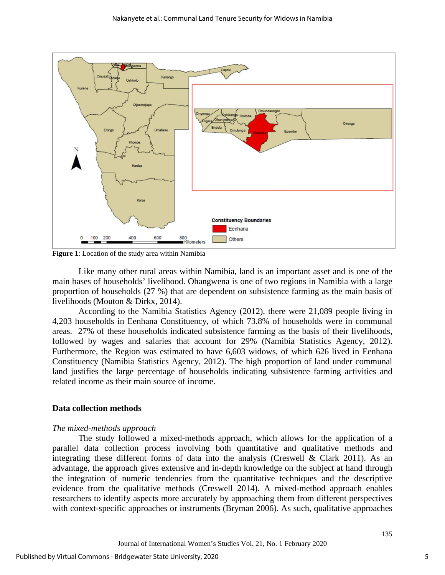

**Figure 1**: Location of the study area within Namibia

Like many other rural areas within Namibia, land is an important asset and is one of the main bases of households' livelihood. Ohangwena is one of two regions in Namibia with a large proportion of households (27 %) that are dependent on subsistence farming as the main basis of livelihoods (Mouton & Dirkx, 2014).

According to the Namibia Statistics Agency (2012), there were 21,089 people living in 4,203 households in Eenhana Constituency, of which 73.8% of households were in communal areas. 27% of these households indicated subsistence farming as the basis of their livelihoods, followed by wages and salaries that account for 29% (Namibia Statistics Agency, 2012). Furthermore, the Region was estimated to have 6,603 widows, of which 626 lived in Eenhana Constituency (Namibia Statistics Agency, 2012). The high proportion of land under communal land justifies the large percentage of households indicating subsistence farming activities and related income as their main source of income.

#### **Data collection methods**

#### *The mixed-methods approach*

The study followed a mixed-methods approach, which allows for the application of a parallel data collection process involving both quantitative and qualitative methods and integrating these different forms of data into the analysis (Creswell  $\&$  Clark 2011). As an advantage, the approach gives extensive and in-depth knowledge on the subject at hand through the integration of numeric tendencies from the quantitative techniques and the descriptive evidence from the qualitative methods (Creswell 2014). A mixed-method approach enables researchers to identify aspects more accurately by approaching them from different perspectives with context-specific approaches or instruments (Bryman 2006). As such, qualitative approaches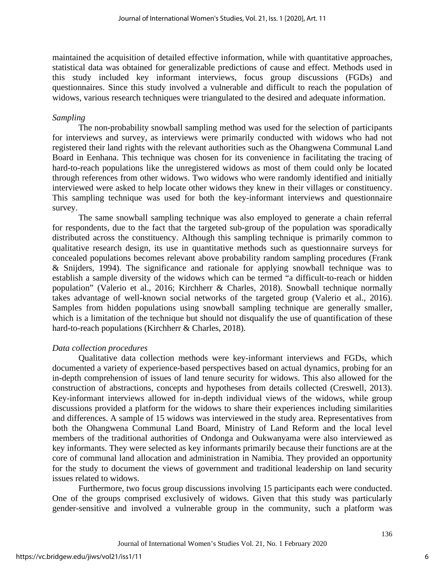maintained the acquisition of detailed effective information, while with quantitative approaches, statistical data was obtained for generalizable predictions of cause and effect. Methods used in this study included key informant interviews, focus group discussions (FGDs) and questionnaires. Since this study involved a vulnerable and difficult to reach the population of widows, various research techniques were triangulated to the desired and adequate information.

#### *Sampling*

The non-probability snowball sampling method was used for the selection of participants for interviews and survey, as interviews were primarily conducted with widows who had not registered their land rights with the relevant authorities such as the Ohangwena Communal Land Board in Eenhana. This technique was chosen for its convenience in facilitating the tracing of hard-to-reach populations like the unregistered widows as most of them could only be located through references from other widows. Two widows who were randomly identified and initially interviewed were asked to help locate other widows they knew in their villages or constituency. This sampling technique was used for both the key-informant interviews and questionnaire survey.

The same snowball sampling technique was also employed to generate a chain referral for respondents, due to the fact that the targeted sub-group of the population was sporadically distributed across the constituency. Although this sampling technique is primarily common to qualitative research design, its use in quantitative methods such as questionnaire surveys for concealed populations becomes relevant above probability random sampling procedures (Frank & Snijders, 1994). The significance and rationale for applying snowball technique was to establish a sample diversity of the widows which can be termed "a difficult-to-reach or hidden population" (Valerio et al., 2016; Kirchherr & Charles, 2018). Snowball technique normally takes advantage of well-known social networks of the targeted group (Valerio et al., 2016). Samples from hidden populations using snowball sampling technique are generally smaller, which is a limitation of the technique but should not disqualify the use of quantification of these hard-to-reach populations (Kirchherr & Charles, 2018).

#### *Data collection procedures*

Qualitative data collection methods were key-informant interviews and FGDs, which documented a variety of experience-based perspectives based on actual dynamics, probing for an in-depth comprehension of issues of land tenure security for widows. This also allowed for the construction of abstractions, concepts and hypotheses from details collected (Creswell, 2013). Key-informant interviews allowed for in-depth individual views of the widows, while group discussions provided a platform for the widows to share their experiences including similarities and differences. A sample of 15 widows was interviewed in the study area. Representatives from both the Ohangwena Communal Land Board, Ministry of Land Reform and the local level members of the traditional authorities of Ondonga and Oukwanyama were also interviewed as key informants. They were selected as key informants primarily because their functions are at the core of communal land allocation and administration in Namibia. They provided an opportunity for the study to document the views of government and traditional leadership on land security issues related to widows.

Furthermore, two focus group discussions involving 15 participants each were conducted. One of the groups comprised exclusively of widows. Given that this study was particularly gender-sensitive and involved a vulnerable group in the community, such a platform was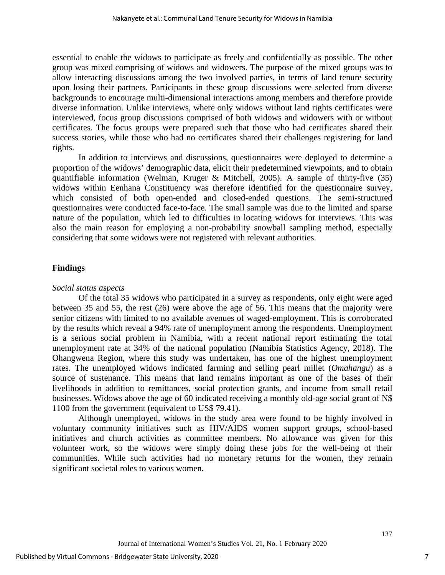essential to enable the widows to participate as freely and confidentially as possible. The other group was mixed comprising of widows and widowers. The purpose of the mixed groups was to allow interacting discussions among the two involved parties, in terms of land tenure security upon losing their partners. Participants in these group discussions were selected from diverse backgrounds to encourage multi-dimensional interactions among members and therefore provide diverse information. Unlike interviews, where only widows without land rights certificates were interviewed, focus group discussions comprised of both widows and widowers with or without certificates. The focus groups were prepared such that those who had certificates shared their success stories, while those who had no certificates shared their challenges registering for land rights.

In addition to interviews and discussions, questionnaires were deployed to determine a proportion of the widows' demographic data, elicit their predetermined viewpoints, and to obtain quantifiable information (Welman, Kruger & Mitchell, 2005). A sample of thirty-five (35) widows within Eenhana Constituency was therefore identified for the questionnaire survey, which consisted of both open-ended and closed-ended questions. The semi-structured questionnaires were conducted face-to-face. The small sample was due to the limited and sparse nature of the population, which led to difficulties in locating widows for interviews. This was also the main reason for employing a non-probability snowball sampling method, especially considering that some widows were not registered with relevant authorities.

## **Findings**

## *Social status aspects*

Of the total 35 widows who participated in a survey as respondents, only eight were aged between 35 and 55, the rest (26) were above the age of 56. This means that the majority were senior citizens with limited to no available avenues of waged-employment. This is corroborated by the results which reveal a 94% rate of unemployment among the respondents. Unemployment is a serious social problem in Namibia, with a recent national report estimating the total unemployment rate at 34% of the national population (Namibia Statistics Agency, 2018). The Ohangwena Region, where this study was undertaken, has one of the highest unemployment rates. The unemployed widows indicated farming and selling pearl millet (*Omahangu*) as a source of sustenance. This means that land remains important as one of the bases of their livelihoods in addition to remittances, social protection grants, and income from small retail businesses. Widows above the age of 60 indicated receiving a monthly old-age social grant of N\$ 1100 from the government (equivalent to US\$ 79.41).

Although unemployed, widows in the study area were found to be highly involved in voluntary community initiatives such as HIV/AIDS women support groups, school-based initiatives and church activities as committee members. No allowance was given for this volunteer work, so the widows were simply doing these jobs for the well-being of their communities. While such activities had no monetary returns for the women, they remain significant societal roles to various women.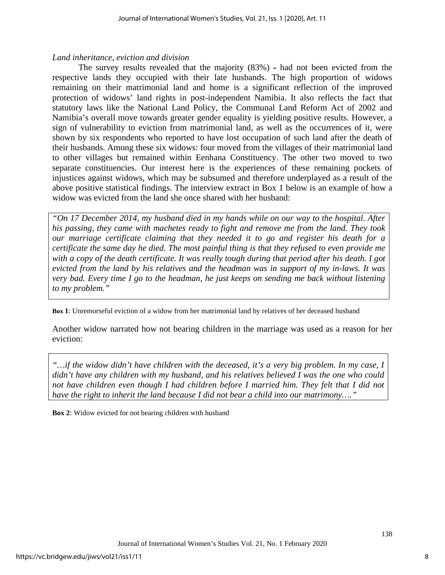## *Land inheritance, eviction and division*

The survey results revealed that the majority (83%) - had not been evicted from the respective lands they occupied with their late husbands. The high proportion of widows remaining on their matrimonial land and home is a significant reflection of the improved protection of widows' land rights in post-independent Namibia. It also reflects the fact that statutory laws like the National Land Policy, the Communal Land Reform Act of 2002 and Namibia's overall move towards greater gender equality is yielding positive results. However, a sign of vulnerability to eviction from matrimonial land, as well as the occurrences of it, were shown by six respondents who reported to have lost occupation of such land after the death of their husbands. Among these six widows: four moved from the villages of their matrimonial land to other villages but remained within Eenhana Constituency. The other two moved to two separate constituencies. Our interest here is the experiences of these remaining pockets of injustices against widows, which may be subsumed and therefore underplayed as a result of the above positive statistical findings. The interview extract in Box 1 below is an example of how a widow was evicted from the land she once shared with her husband:

*"On 17 December 2014, my husband died in my hands while on our way to the hospital. After his passing, they came with machetes ready to fight and remove me from the land. They took our marriage certificate claiming that they needed it to go and register his death for a certificate the same day he died. The most painful thing is that they refused to even provide me with a copy of the death certificate. It was really tough during that period after his death. I got evicted from the land by his relatives and the headman was in support of my in-laws. It was very bad. Every time I go to the headman, he just keeps on sending me back without listening to my problem."*

**Box 1**: Unremorseful eviction of a widow from her matrimonial land by relatives of her deceased husband

Another widow narrated how not bearing children in the marriage was used as a reason for her eviction:

*"…if the widow didn't have children with the deceased, it's a very big problem. In my case, I didn't have any children with my husband, and his relatives believed I was the one who could not have children even though I had children before I married him. They felt that I did not have the right to inherit the land because I did not bear a child into our matrimony…."*

**Box 2**: Widow evicted for not bearing children with husband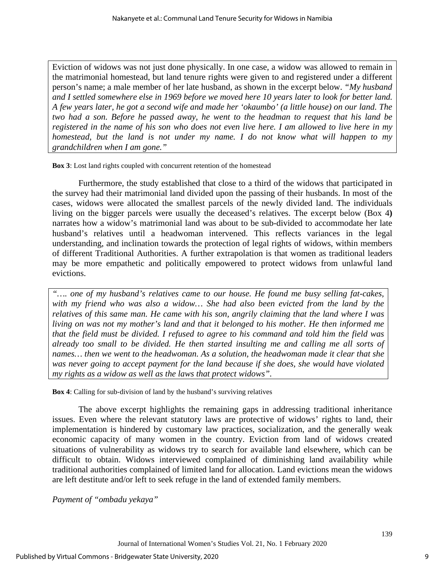Eviction of widows was not just done physically. In one case, a widow was allowed to remain in the matrimonial homestead, but land tenure rights were given to and registered under a different person's name; a male member of her late husband, as shown in the excerpt below. *"My husband and I settled somewhere else in 1969 before we moved here 10 years later to look for better land. A few years later, he got a second wife and made her 'okaumbo' (a little house) on our land. The two had a son. Before he passed away, he went to the headman to request that his land be registered in the name of his son who does not even live here. I am allowed to live here in my homestead, but the land is not under my name. I do not know what will happen to my grandchildren when I am gone."* 

**Box 3**: Lost land rights coupled with concurrent retention of the homestead

Furthermore, the study established that close to a third of the widows that participated in the survey had their matrimonial land divided upon the passing of their husbands. In most of the cases, widows were allocated the smallest parcels of the newly divided land. The individuals living on the bigger parcels were usually the deceased's relatives. The excerpt below (Box 4**)** narrates how a widow's matrimonial land was about to be sub-divided to accommodate her late husband's relatives until a headwoman intervened. This reflects variances in the legal understanding, and inclination towards the protection of legal rights of widows, within members of different Traditional Authorities. A further extrapolation is that women as traditional leaders may be more empathetic and politically empowered to protect widows from unlawful land evictions.

*"…. one of my husband's relatives came to our house. He found me busy selling fat-cakes, with my friend who was also a widow… She had also been evicted from the land by the relatives of this same man. He came with his son, angrily claiming that the land where I was living on was not my mother's land and that it belonged to his mother. He then informed me that the field must be divided. I refused to agree to his command and told him the field was already too small to be divided. He then started insulting me and calling me all sorts of names… then we went to the headwoman. As a solution, the headwoman made it clear that she was never going to accept payment for the land because if she does, she would have violated my rights as a widow as well as the laws that protect widows".*

**Box 4**: Calling for sub-division of land by the husband's surviving relatives

The above excerpt highlights the remaining gaps in addressing traditional inheritance issues. Even where the relevant statutory laws are protective of widows' rights to land, their implementation is hindered by customary law practices, socialization, and the generally weak economic capacity of many women in the country. Eviction from land of widows created situations of vulnerability as widows try to search for available land elsewhere, which can be difficult to obtain. Widows interviewed complained of diminishing land availability while traditional authorities complained of limited land for allocation. Land evictions mean the widows are left destitute and/or left to seek refuge in the land of extended family members.

*Payment of "ombadu yekaya"*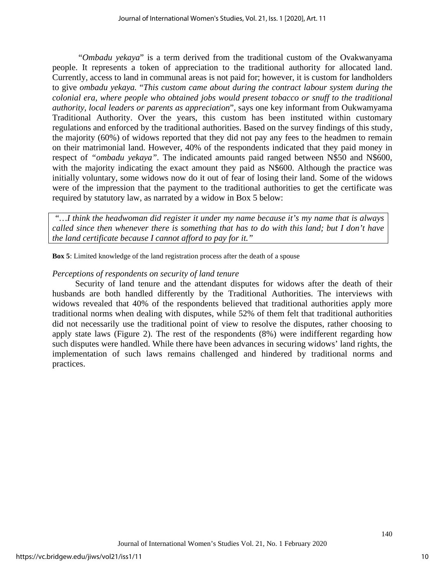"*Ombadu yekaya*" is a term derived from the traditional custom of the Ovakwanyama people. It represents a token of appreciation to the traditional authority for allocated land. Currently, access to land in communal areas is not paid for; however, it is custom for landholders to give *ombadu yekaya.* "*This custom came about during the contract labour system during the colonial era, where people who obtained jobs would present tobacco or snuff to the traditional authority, local leaders or parents as appreciation*", says one key informant from Oukwamyama Traditional Authority. Over the years, this custom has been instituted within customary regulations and enforced by the traditional authorities. Based on the survey findings of this study, the majority (60%) of widows reported that they did not pay any fees to the headmen to remain on their matrimonial land. However, 40% of the respondents indicated that they paid money in respect of *"ombadu yekaya".* The indicated amounts paid ranged between N\$50 and N\$600, with the majority indicating the exact amount they paid as N\$600. Although the practice was initially voluntary, some widows now do it out of fear of losing their land. Some of the widows were of the impression that the payment to the traditional authorities to get the certificate was required by statutory law, as narrated by a widow in Box 5 below:

*"…I think the headwoman did register it under my name because it's my name that is always called since then whenever there is something that has to do with this land; but I don't have the land certificate because I cannot afford to pay for it."*

**Box 5**: Limited knowledge of the land registration process after the death of a spouse

## *Perceptions of respondents on security of land tenure*

Security of land tenure and the attendant disputes for widows after the death of their husbands are both handled differently by the Traditional Authorities. The interviews with widows revealed that 40% of the respondents believed that traditional authorities apply more traditional norms when dealing with disputes, while 52% of them felt that traditional authorities did not necessarily use the traditional point of view to resolve the disputes, rather choosing to apply state laws (Figure 2). The rest of the respondents (8%) were indifferent regarding how such disputes were handled. While there have been advances in securing widows' land rights, the implementation of such laws remains challenged and hindered by traditional norms and practices.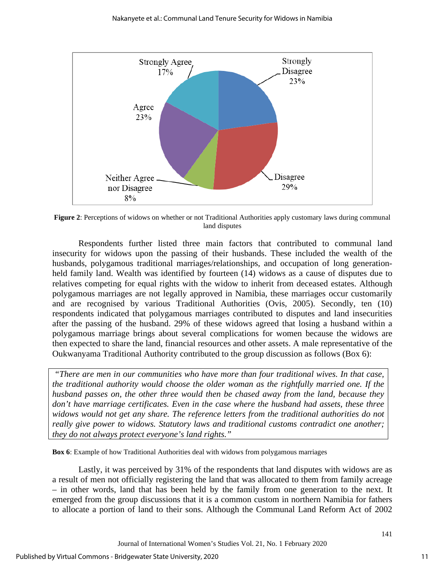

**Figure 2**: Perceptions of widows on whether or not Traditional Authorities apply customary laws during communal land disputes

Respondents further listed three main factors that contributed to communal land insecurity for widows upon the passing of their husbands. These included the wealth of the husbands, polygamous traditional marriages/relationships, and occupation of long generationheld family land. Wealth was identified by fourteen (14) widows as a cause of disputes due to relatives competing for equal rights with the widow to inherit from deceased estates. Although polygamous marriages are not legally approved in Namibia, these marriages occur customarily and are recognised by various Traditional Authorities (Ovis, 2005). Secondly, ten (10) respondents indicated that polygamous marriages contributed to disputes and land insecurities after the passing of the husband. 29% of these widows agreed that losing a husband within a polygamous marriage brings about several complications for women because the widows are then expected to share the land, financial resources and other assets. A male representative of the Oukwanyama Traditional Authority contributed to the group discussion as follows (Box 6):

*"There are men in our communities who have more than four traditional wives. In that case, the traditional authority would choose the older woman as the rightfully married one. If the husband passes on, the other three would then be chased away from the land, because they don't have marriage certificates. Even in the case where the husband had assets, these three widows would not get any share. The reference letters from the traditional authorities do not really give power to widows. Statutory laws and traditional customs contradict one another; they do not always protect everyone's land rights."*

**Box 6**: Example of how Traditional Authorities deal with widows from polygamous marriages

Lastly, it was perceived by 31% of the respondents that land disputes with widows are as a result of men not officially registering the land that was allocated to them from family acreage – in other words, land that has been held by the family from one generation to the next. It emerged from the group discussions that it is a common custom in northern Namibia for fathers to allocate a portion of land to their sons. Although the Communal Land Reform Act of 2002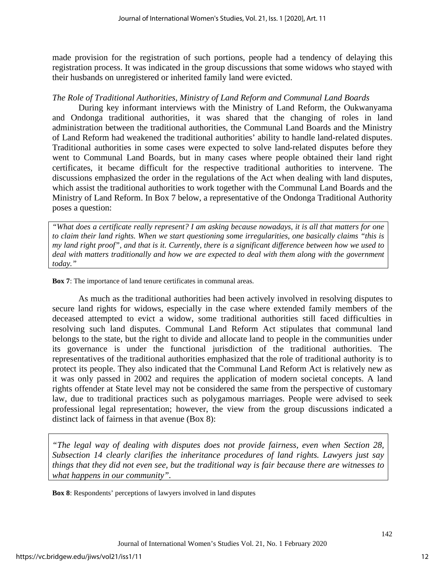made provision for the registration of such portions, people had a tendency of delaying this registration process. It was indicated in the group discussions that some widows who stayed with their husbands on unregistered or inherited family land were evicted.

## *The Role of Traditional Authorities, Ministry of Land Reform and Communal Land Boards*

During key informant interviews with the Ministry of Land Reform, the Oukwanyama and Ondonga traditional authorities, it was shared that the changing of roles in land administration between the traditional authorities, the Communal Land Boards and the Ministry of Land Reform had weakened the traditional authorities' ability to handle land-related disputes. Traditional authorities in some cases were expected to solve land-related disputes before they went to Communal Land Boards, but in many cases where people obtained their land right certificates, it became difficult for the respective traditional authorities to intervene. The discussions emphasized the order in the regulations of the Act when dealing with land disputes, which assist the traditional authorities to work together with the Communal Land Boards and the Ministry of Land Reform. In Box 7 below, a representative of the Ondonga Traditional Authority poses a question:

*"What does a certificate really represent? I am asking because nowadays, it is all that matters for one to claim their land rights. When we start questioning some irregularities, one basically claims "this is my land right proof", and that is it. Currently, there is a significant difference between how we used to deal with matters traditionally and how we are expected to deal with them along with the government today."*

**Box 7**: The importance of land tenure certificates in communal areas.

As much as the traditional authorities had been actively involved in resolving disputes to secure land rights for widows, especially in the case where extended family members of the deceased attempted to evict a widow, some traditional authorities still faced difficulties in resolving such land disputes. Communal Land Reform Act stipulates that communal land belongs to the state, but the right to divide and allocate land to people in the communities under its governance is under the functional jurisdiction of the traditional authorities. The representatives of the traditional authorities emphasized that the role of traditional authority is to protect its people. They also indicated that the Communal Land Reform Act is relatively new as it was only passed in 2002 and requires the application of modern societal concepts. A land rights offender at State level may not be considered the same from the perspective of customary law, due to traditional practices such as polygamous marriages. People were advised to seek professional legal representation; however, the view from the group discussions indicated a distinct lack of fairness in that avenue (Box 8):

*"The legal way of dealing with disputes does not provide fairness, even when Section 28, Subsection 14 clearly clarifies the inheritance procedures of land rights. Lawyers just say things that they did not even see, but the traditional way is fair because there are witnesses to what happens in our community".*

**Box 8**: Respondents' perceptions of lawyers involved in land disputes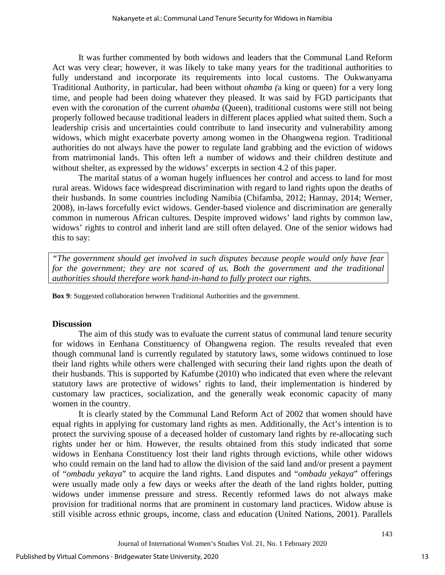It was further commented by both widows and leaders that the Communal Land Reform Act was very clear; however, it was likely to take many years for the traditional authorities to fully understand and incorporate its requirements into local customs. The Oukwanyama Traditional Authority, in particular, had been without *ohamba (*a king or queen) for a very long time, and people had been doing whatever they pleased. It was said by FGD participants that even with the coronation of the current *ohamba* (Queen), traditional customs were still not being properly followed because traditional leaders in different places applied what suited them. Such a leadership crisis and uncertainties could contribute to land insecurity and vulnerability among widows, which might exacerbate poverty among women in the Ohangwena region. Traditional authorities do not always have the power to regulate land grabbing and the eviction of widows from matrimonial lands. This often left a number of widows and their children destitute and without shelter, as expressed by the widows' excerpts in section 4.2 of this paper.

The marital status of a woman hugely influences her control and access to land for most rural areas. Widows face widespread discrimination with regard to land rights upon the deaths of their husbands. In some countries including Namibia (Chifamba, 2012; Hannay, 2014; Werner, 2008), in-laws forcefully evict widows. Gender-based violence and discrimination are generally common in numerous African cultures. Despite improved widows' land rights by common law, widows' rights to control and inherit land are still often delayed. One of the senior widows had this to say:

*"The government should get involved in such disputes because people would only have fear*  for the government; they are not scared of us. Both the government and the traditional *authorities should therefore work hand-in-hand to fully protect our rights.*

**Box 9**: Suggested collaboration between Traditional Authorities and the government.

## **Discussion**

The aim of this study was to evaluate the current status of communal land tenure security for widows in Eenhana Constituency of Ohangwena region. The results revealed that even though communal land is currently regulated by statutory laws, some widows continued to lose their land rights while others were challenged with securing their land rights upon the death of their husbands. This is supported by Kafumbe (2010) who indicated that even where the relevant statutory laws are protective of widows' rights to land, their implementation is hindered by customary law practices, socialization, and the generally weak economic capacity of many women in the country.

It is clearly stated by the Communal Land Reform Act of 2002 that women should have equal rights in applying for customary land rights as men. Additionally, the Act's intention is to protect the surviving spouse of a deceased holder of customary land rights by re-allocating such rights under her or him. However, the results obtained from this study indicated that some widows in Eenhana Constituency lost their land rights through evictions, while other widows who could remain on the land had to allow the division of the said land and/or present a payment of "*ombadu yekaya*" to acquire the land rights. Land disputes and "*ombadu yekaya*" offerings were usually made only a few days or weeks after the death of the land rights holder, putting widows under immense pressure and stress. Recently reformed laws do not always make provision for traditional norms that are prominent in customary land practices. Widow abuse is still visible across ethnic groups, income, class and education (United Nations, 2001). Parallels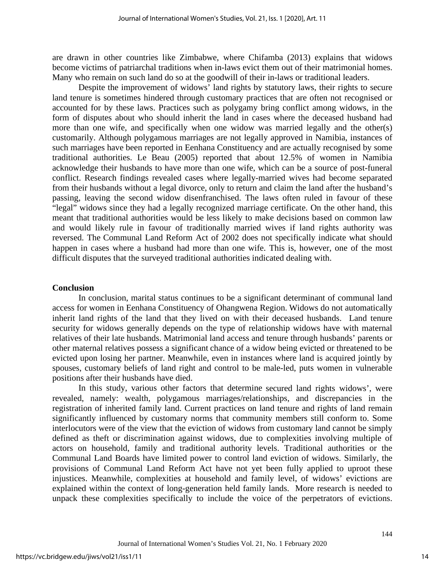are drawn in other countries like Zimbabwe, where Chifamba (2013) explains that widows become victims of patriarchal traditions when in-laws evict them out of their matrimonial homes. Many who remain on such land do so at the goodwill of their in-laws or traditional leaders.

Despite the improvement of widows' land rights by statutory laws, their rights to secure land tenure is sometimes hindered through customary practices that are often not recognised or accounted for by these laws. Practices such as polygamy bring conflict among widows, in the form of disputes about who should inherit the land in cases where the deceased husband had more than one wife, and specifically when one widow was married legally and the other(s) customarily. Although polygamous marriages are not legally approved in Namibia, instances of such marriages have been reported in Eenhana Constituency and are actually recognised by some traditional authorities. Le Beau (2005) reported that about 12.5% of women in Namibia acknowledge their husbands to have more than one wife, which can be a source of post-funeral conflict. Research findings revealed cases where legally-married wives had become separated from their husbands without a legal divorce, only to return and claim the land after the husband's passing, leaving the second widow disenfranchised. The laws often ruled in favour of these "legal" widows since they had a legally recognized marriage certificate. On the other hand, this meant that traditional authorities would be less likely to make decisions based on common law and would likely rule in favour of traditionally married wives if land rights authority was reversed. The Communal Land Reform Act of 2002 does not specifically indicate what should happen in cases where a husband had more than one wife. This is, however, one of the most difficult disputes that the surveyed traditional authorities indicated dealing with.

## **Conclusion**

In conclusion, marital status continues to be a significant determinant of communal land access for women in Eenhana Constituency of Ohangwena Region. Widows do not automatically inherit land rights of the land that they lived on with their deceased husbands. Land tenure security for widows generally depends on the type of relationship widows have with maternal relatives of their late husbands. Matrimonial land access and tenure through husbands' parents or other maternal relatives possess a significant chance of a widow being evicted or threatened to be evicted upon losing her partner. Meanwhile, even in instances where land is acquired jointly by spouses, customary beliefs of land right and control to be male-led, puts women in vulnerable positions after their husbands have died.

In this study, various other factors that determine secured land rights widows', were revealed, namely: wealth, polygamous marriages/relationships, and discrepancies in the registration of inherited family land. Current practices on land tenure and rights of land remain significantly influenced by customary norms that community members still conform to. Some interlocutors were of the view that the eviction of widows from customary land cannot be simply defined as theft or discrimination against widows, due to complexities involving multiple of actors on household, family and traditional authority levels. Traditional authorities or the Communal Land Boards have limited power to control land eviction of widows. Similarly, the provisions of Communal Land Reform Act have not yet been fully applied to uproot these injustices. Meanwhile, complexities at household and family level, of widows' evictions are explained within the context of long-generation held family lands. More research is needed to unpack these complexities specifically to include the voice of the perpetrators of evictions.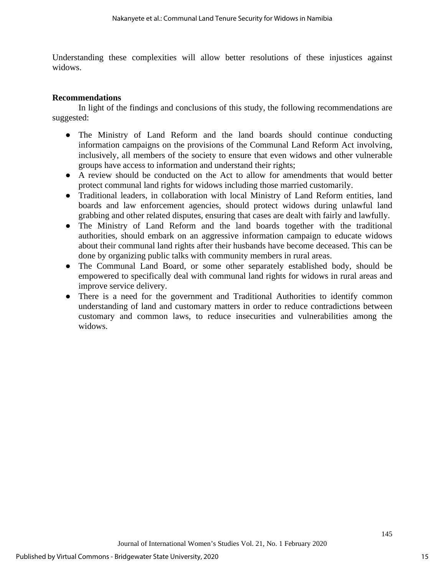Understanding these complexities will allow better resolutions of these injustices against widows.

## **Recommendations**

In light of the findings and conclusions of this study, the following recommendations are suggested:

- The Ministry of Land Reform and the land boards should continue conducting information campaigns on the provisions of the Communal Land Reform Act involving, inclusively, all members of the society to ensure that even widows and other vulnerable groups have access to information and understand their rights;
- A review should be conducted on the Act to allow for amendments that would better protect communal land rights for widows including those married customarily.
- Traditional leaders, in collaboration with local Ministry of Land Reform entities, land boards and law enforcement agencies, should protect widows during unlawful land grabbing and other related disputes, ensuring that cases are dealt with fairly and lawfully.
- The Ministry of Land Reform and the land boards together with the traditional authorities, should embark on an aggressive information campaign to educate widows about their communal land rights after their husbands have become deceased. This can be done by organizing public talks with community members in rural areas.
- The Communal Land Board, or some other separately established body, should be empowered to specifically deal with communal land rights for widows in rural areas and improve service delivery.
- There is a need for the government and Traditional Authorities to identify common understanding of land and customary matters in order to reduce contradictions between customary and common laws, to reduce insecurities and vulnerabilities among the widows.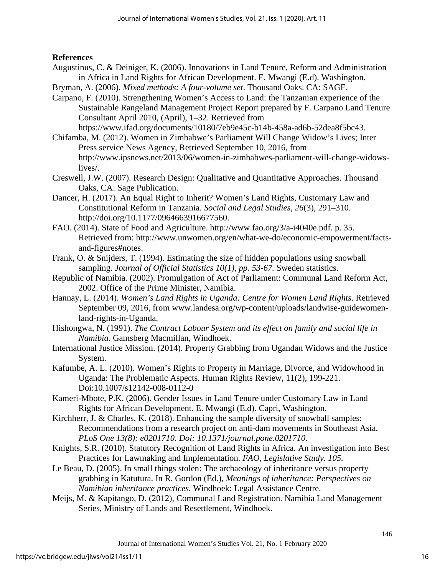## **References**

- Augustinus, C. & Deiniger, K. (2006). Innovations in Land Tenure, Reform and Administration in Africa in Land Rights for African Development. E. Mwangi (E.d). Washington.
- Bryman, A. (2006). *Mixed methods: A four-volume set*. Thousand Oaks. CA: SAGE.
- Carpano, F. (2010). Strengthening Women's Access to Land: the Tanzanian experience of the Sustainable Rangeland Management Project Report prepared by F. Carpano Land Tenure Consultant April 2010, (April), 1–32. Retrieved from

https://www.ifad.org/documents/10180/7eb9e45c-b14b-458a-ad6b-52dea8f5bc43.

- Chifamba, M. (2012). Women in Zimbabwe's Parliament Will Change Widow's Lives; Inter Press service News Agency, Retrieved September 10, 2016, from http://www.ipsnews.net/2013/06/women-in-zimbabwes-parliament-will-change-widowslives/.
- Creswell, J.W. (2007). Research Design: Qualitative and Quantitative Approaches. Thousand Oaks, CA: Sage Publication.
- Dancer, H. (2017). An Equal Right to Inherit? Women's Land Rights, Customary Law and Constitutional Reform in Tanzania. *Social and Legal Studies*, *26*(3), 291–310. http://doi.org/10.1177/0964663916677560.
- FAO. (2014). State of Food and Agriculture. http://www.fao.org/3/a-i4040e.pdf. p. 35. Retrieved from: http://www.unwomen.org/en/what-we-do/economic-empowerment/factsand-figures#notes.
- Frank, O. & Snijders, T. (1994). Estimating the size of hidden populations using snowball sampling. *Journal of Official Statistics 10(1), pp. 53-67.* Sweden statistics.
- Republic of Namibia. (2002). Promulgation of Act of Parliament: Communal Land Reform Act, 2002. Office of the Prime Minister, Namibia.
- Hannay, L. (2014). *Women's Land Rights in Uganda: Centre for Women Land Rights*. Retrieved September 09, 2016, from [www.landesa.org/wp-content/uploads/landwise-guidewomen](http://www.landesa.org/wp-content/uploads/landwise-guidewomen-land-rights-in-Uganda)[land-rights-in-Uganda.](http://www.landesa.org/wp-content/uploads/landwise-guidewomen-land-rights-in-Uganda)
- Hishongwa, N. (1991). *The Contract Labour System and its effect on family and social life in Namibia*. Gamsberg Macmillan, Windhoek.
- International Justice Mission. (2014). Property Grabbing from Ugandan Widows and the Justice System.
- Kafumbe, A. L. (2010). Women's Rights to Property in Marriage, Divorce, and Widowhood in Uganda: The Problematic Aspects. Human Rights Review, 11(2), 199-221. Doi:10.1007/s12142-008-0112-0
- Kameri-Mbote, P.K. (2006). Gender Issues in Land Tenure under Customary Law in Land Rights for African Development. E. Mwangi (E.d). Capri, Washington.
- Kirchherr, J. & Charles, K. (2018). Enhancing the sample diversity of snowball samples: Recommendations from a research project on anti-dam movements in Southeast Asia. *PLoS One 13(8): e0201710. Doi: 10.1371/journal.pone.0201710*.
- Knights, S.R. (2010). Statutory Recognition of Land Rights in Africa. An investigation into Best Practices for Lawmaking and Implementation. *FAO, Legislative Study. 105.*
- Le Beau, D. (2005). In small things stolen: The archaeology of inheritance versus property grabbing in Katutura. In R. Gordon (Ed.), *Meanings of inheritance: Perspectives on Namibian inheritance practices.* Windhoek: Legal Assistance Centre.
- Meijs, M. & Kapitango, D. (2012), Communal Land Registration. Namibia Land Management Series, Ministry of Lands and Resettlement, Windhoek.